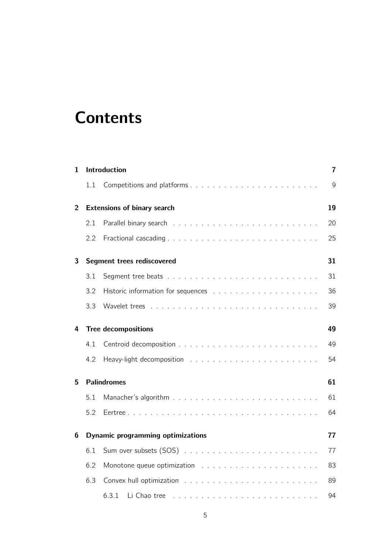## **Contents**

| 1              |                                          | Introduction          | 7  |  |
|----------------|------------------------------------------|-----------------------|----|--|
|                | 1.1                                      |                       | 9  |  |
| $\overline{2}$ | <b>Extensions of binary search</b>       |                       |    |  |
|                | 2.1                                      |                       | 20 |  |
|                | 2.2                                      |                       | 25 |  |
| 3              | Segment trees rediscovered               |                       |    |  |
|                | 3.1                                      |                       | 31 |  |
|                | 3.2                                      |                       | 36 |  |
|                | 3.3                                      |                       | 39 |  |
| 4              | <b>Tree decompositions</b>               |                       |    |  |
|                | 4.1                                      |                       | 49 |  |
|                | 4.2                                      |                       | 54 |  |
| 5              | <b>Palindromes</b>                       |                       |    |  |
|                | 5.1                                      |                       | 61 |  |
|                | 5.2                                      |                       | 64 |  |
| 6              | <b>Dynamic programming optimizations</b> |                       |    |  |
|                | 6.1                                      |                       | 77 |  |
|                | 6.2                                      |                       | 83 |  |
|                | 6.3                                      |                       | 89 |  |
|                |                                          | 6.3.1<br>Li Chao tree | 94 |  |